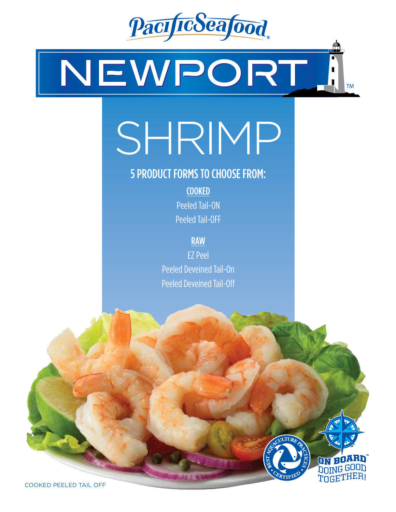

NEWPORT. **TM** 

## SHRIMP

## 5 PRODUCT FORMS TO CHOOSE FROM:

COOKED Peeled Tail-ON Peeled Tail-OFF

RAW

EZ Peel Peeled Deveined Tail-On Peeled Deveined Tail-Off



ON BOARD **DOING GOOD POLITIER!** 

COOKED PEELED TAIL OFF